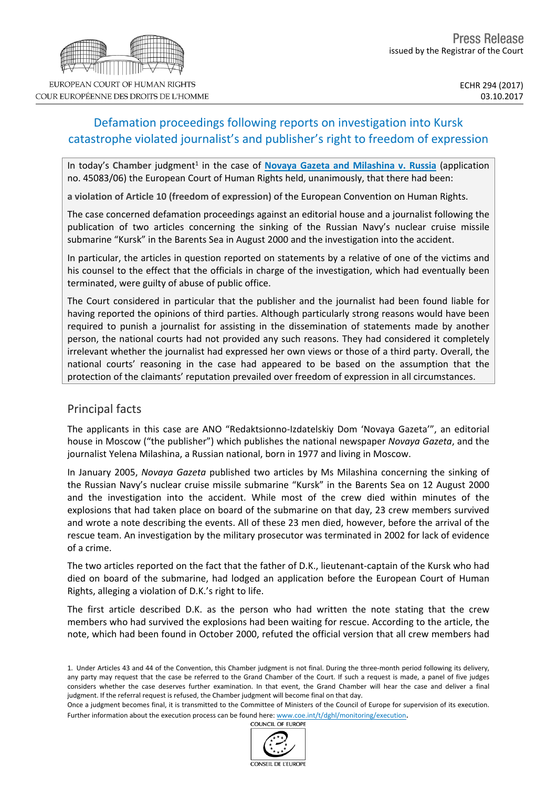# Defamation proceedings following reports on investigation into Kursk catastrophe violated journalist's and publisher's right to freedom of expression

In today's Chamber judgment<sup>1</sup> in the case of Novaya Gazeta and [Milashina](http://hudoc.echr.coe.int/eng?i=001-177215) v. Russia (application no. 45083/06) the European Court of Human Rights held, unanimously, that there had been:

**a violation of Article 10 (freedom of expression)** of the European Convention on Human Rights.

The case concerned defamation proceedings against an editorial house and a journalist following the publication of two articles concerning the sinking of the Russian Navy's nuclear cruise missile submarine "Kursk" in the Barents Sea in August 2000 and the investigation into the accident.

In particular, the articles in question reported on statements by a relative of one of the victims and his counsel to the effect that the officials in charge of the investigation, which had eventually been terminated, were guilty of abuse of public office.

The Court considered in particular that the publisher and the journalist had been found liable for having reported the opinions of third parties. Although particularly strong reasons would have been required to punish a journalist for assisting in the dissemination of statements made by another person, the national courts had not provided any such reasons. They had considered it completely irrelevant whether the journalist had expressed her own views or those of a third party. Overall, the national courts' reasoning in the case had appeared to be based on the assumption that the protection of the claimants' reputation prevailed over freedom of expression in all circumstances.

## Principal facts

The applicants in this case are ANO "Redaktsionno-Izdatelskiy Dom 'Novaya Gazeta'", an editorial house in Moscow ("the publisher") which publishes the national newspaper *Novaya Gazeta*, and the journalist Yelena Milashina, a Russian national, born in 1977 and living in Moscow.

In January 2005, *Novaya Gazeta* published two articles by Ms Milashina concerning the sinking of the Russian Navy's nuclear cruise missile submarine "Kursk" in the Barents Sea on 12 August 2000 and the investigation into the accident. While most of the crew died within minutes of the explosions that had taken place on board of the submarine on that day, 23 crew members survived and wrote a note describing the events. All of these 23 men died, however, before the arrival of the rescue team. An investigation by the military prosecutor was terminated in 2002 for lack of evidence of a crime.

The two articles reported on the fact that the father of D.K., lieutenant-captain of the Kursk who had died on board of the submarine, had lodged an application before the European Court of Human Rights, alleging a violation of D.K.'s right to life.

The first article described D.K. as the person who had written the note stating that the crew members who had survived the explosions had been waiting for rescue. According to the article, the note, which had been found in October 2000, refuted the official version that all crew members had





<sup>1.</sup> Under Articles 43 and 44 of the Convention, this Chamber judgment is not final. During the three-month period following its delivery, any party may request that the case be referred to the Grand Chamber of the Court. If such a request is made, a panel of five judges considers whether the case deserves further examination. In that event, the Grand Chamber will hear the case and deliver a final judgment. If the referral request is refused, the Chamber judgment will become final on that day.

Once a judgment becomes final, it is transmitted to the Committee of Ministers of the Council of Europe for supervision of its execution. Further information about the execution process can be found here: [www.coe.int/t/dghl/monitoring/execution](http://www.coe.int/t/dghl/monitoring/execution).<br>COUNCIL OF EUROPE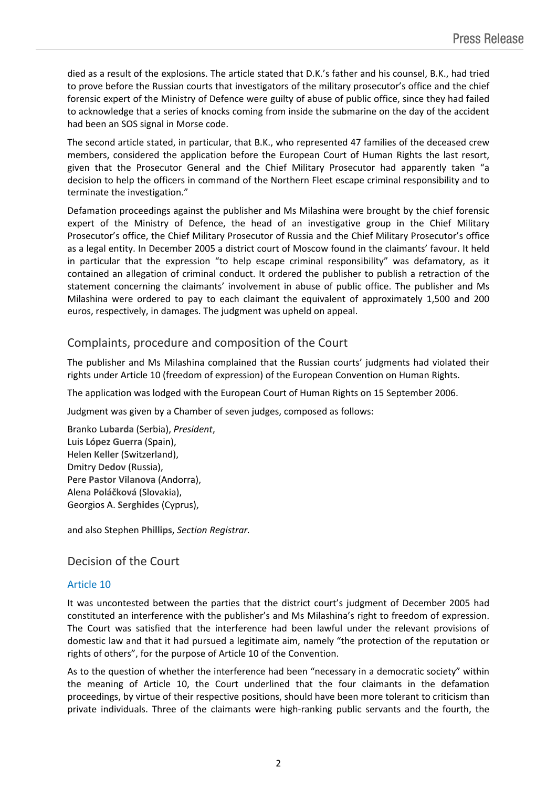died as a result of the explosions. The article stated that D.K.'s father and his counsel, B.K., had tried to prove before the Russian courts that investigators of the military prosecutor's office and the chief forensic expert of the Ministry of Defence were guilty of abuse of public office, since they had failed to acknowledge that a series of knocks coming from inside the submarine on the day of the accident had been an SOS signal in Morse code.

The second article stated, in particular, that B.K., who represented 47 families of the deceased crew members, considered the application before the European Court of Human Rights the last resort, given that the Prosecutor General and the Chief Military Prosecutor had apparently taken "a decision to help the officers in command of the Northern Fleet escape criminal responsibility and to terminate the investigation."

Defamation proceedings against the publisher and Ms Milashina were brought by the chief forensic expert of the Ministry of Defence, the head of an investigative group in the Chief Military Prosecutor's office, the Chief Military Prosecutor of Russia and the Chief Military Prosecutor's office as a legal entity. In December 2005 a district court of Moscow found in the claimants' favour. It held in particular that the expression "to help escape criminal responsibility" was defamatory, as it contained an allegation of criminal conduct. It ordered the publisher to publish a retraction of the statement concerning the claimants' involvement in abuse of public office. The publisher and Ms Milashina were ordered to pay to each claimant the equivalent of approximately 1,500 and 200 euros, respectively, in damages. The judgment was upheld on appeal.

## Complaints, procedure and composition of the Court

The publisher and Ms Milashina complained that the Russian courts' judgments had violated their rights under Article 10 (freedom of expression) of the European Convention on Human Rights.

The application was lodged with the European Court of Human Rights on 15 September 2006.

Judgment was given by a Chamber of seven judges, composed as follows:

Branko **Lubarda** (Serbia), *President*, Luis **López Guerra** (Spain), Helen **Keller** (Switzerland), Dmitry **Dedov** (Russia), Pere **Pastor Vilanova** (Andorra), Alena **Poláčková** (Slovakia), Georgios A. **Serghides** (Cyprus),

and also Stephen **Phillips**, *Section Registrar.*

## Decision of the Court

### Article 10

It was uncontested between the parties that the district court's judgment of December 2005 had constituted an interference with the publisher's and Ms Milashina's right to freedom of expression. The Court was satisfied that the interference had been lawful under the relevant provisions of domestic law and that it had pursued a legitimate aim, namely "the protection of the reputation or rights of others", for the purpose of Article 10 of the Convention.

As to the question of whether the interference had been "necessary in a democratic society" within the meaning of Article 10, the Court underlined that the four claimants in the defamation proceedings, by virtue of their respective positions, should have been more tolerant to criticism than private individuals. Three of the claimants were high-ranking public servants and the fourth, the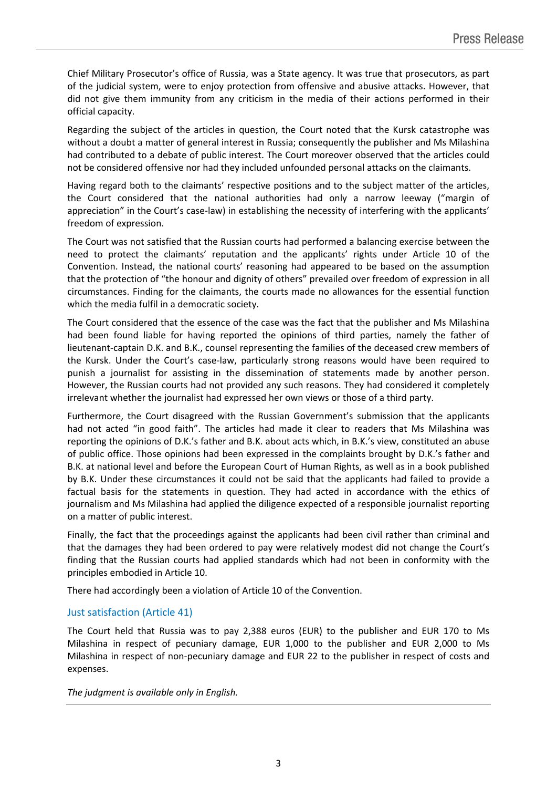Chief Military Prosecutor's office of Russia, was a State agency. It was true that prosecutors, as part of the judicial system, were to enjoy protection from offensive and abusive attacks. However, that did not give them immunity from any criticism in the media of their actions performed in their official capacity.

Regarding the subject of the articles in question, the Court noted that the Kursk catastrophe was without a doubt a matter of general interest in Russia; consequently the publisher and Ms Milashina had contributed to a debate of public interest. The Court moreover observed that the articles could not be considered offensive nor had they included unfounded personal attacks on the claimants.

Having regard both to the claimants' respective positions and to the subject matter of the articles, the Court considered that the national authorities had only a narrow leeway ("margin of appreciation" in the Court's case-law) in establishing the necessity of interfering with the applicants' freedom of expression.

The Court was not satisfied that the Russian courts had performed a balancing exercise between the need to protect the claimants' reputation and the applicants' rights under Article 10 of the Convention. Instead, the national courts' reasoning had appeared to be based on the assumption that the protection of "the honour and dignity of others" prevailed over freedom of expression in all circumstances. Finding for the claimants, the courts made no allowances for the essential function which the media fulfil in a democratic society.

The Court considered that the essence of the case was the fact that the publisher and Ms Milashina had been found liable for having reported the opinions of third parties, namely the father of lieutenant-captain D.K. and B.K., counsel representing the families of the deceased crew members of the Kursk. Under the Court's case-law, particularly strong reasons would have been required to punish a journalist for assisting in the dissemination of statements made by another person. However, the Russian courts had not provided any such reasons. They had considered it completely irrelevant whether the journalist had expressed her own views or those of a third party.

Furthermore, the Court disagreed with the Russian Government's submission that the applicants had not acted "in good faith". The articles had made it clear to readers that Ms Milashina was reporting the opinions of D.K.'s father and B.K. about acts which, in B.K.'s view, constituted an abuse of public office. Those opinions had been expressed in the complaints brought by D.K.'s father and B.K. at national level and before the European Court of Human Rights, as well as in a book published by B.K. Under these circumstances it could not be said that the applicants had failed to provide a factual basis for the statements in question. They had acted in accordance with the ethics of journalism and Ms Milashina had applied the diligence expected of a responsible journalist reporting on a matter of public interest.

Finally, the fact that the proceedings against the applicants had been civil rather than criminal and that the damages they had been ordered to pay were relatively modest did not change the Court's finding that the Russian courts had applied standards which had not been in conformity with the principles embodied in Article 10.

There had accordingly been a violation of Article 10 of the Convention.

### Just satisfaction (Article 41)

The Court held that Russia was to pay 2,388 euros (EUR) to the publisher and EUR 170 to Ms Milashina in respect of pecuniary damage, EUR 1,000 to the publisher and EUR 2,000 to Ms Milashina in respect of non-pecuniary damage and EUR 22 to the publisher in respect of costs and expenses.

*The judgment is available only in English.*